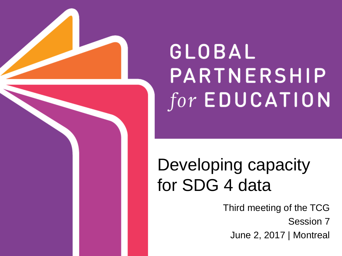

# GLOBAL PARTNERSHIP  $for$  EDUCATION

## Developing capacity for SDG 4 data

Third meeting of the TCG Session 7

June 2, 2017 | Montreal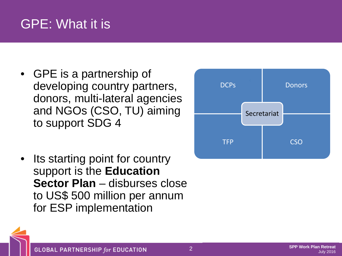### GPE: What it is

- GPE is a partnership of developing country partners, donors, multi-lateral agencies and NGOs (CSO, TU) aiming to support SDG 4
- Its starting point for country support is the **Education Sector Plan** – disburses close to US\$ 500 million per annum for ESP implementation



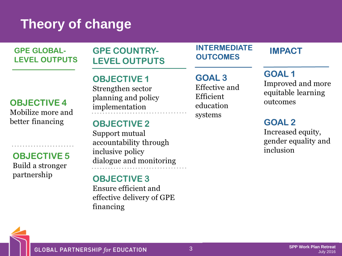### **Theory of change**

**GPE GLOBAL-LEVEL OUTPUTS** 

#### **GPE COUNTRY-LEVEL OUTPUTS**

#### **OBJECTIVE 4**

Mobilize more and better financing

**OBJECTIVE 5** Build a stronger partnership

. . . . . . . . . . . . . . . . . . . .

#### **OBJECTIVE 1** Strengthen sector planning and policy implementation

#### **OBJECTIVE 2**

Support mutual accountability through inclusive policy dialogue and monitoring

#### **OBJECTIVE 3**

Ensure efficient and effective delivery of GPE financing

#### **INTERMEDIATE OUTCOMES**

#### **GOAL 3** Effective and Efficient education systems

#### **IMPACT**

**GOAL1** Improved and more equitable learning outcomes

#### **GOAL 2**

Increased equity, gender equality and inclusion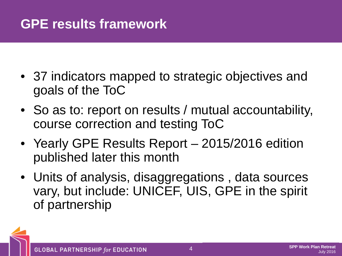### **GPE results framework**

- 37 indicators mapped to strategic objectives and goals of the ToC
- So as to: report on results / mutual accountability, course correction and testing ToC
- Yearly GPE Results Report 2015/2016 edition published later this month
- Units of analysis, disaggregations , data sources vary, but include: UNICEF, UIS, GPE in the spirit of partnership

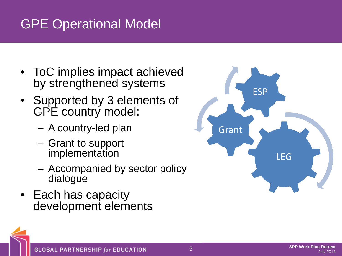### GPE Operational Model

- ToC implies impact achieved by strengthened systems
- Supported by 3 elements of GPE country model:
	- A country-led plan
	- Grant to support implementation
	- Accompanied by sector policy dialogue
- Each has capacity development elements

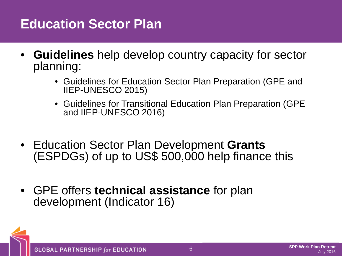### **Education Sector Plan**

- **Guidelines** help develop country capacity for sector planning:
	- Guidelines for Education Sector Plan Preparation (GPE and IIEP-UNESCO 2015)
	- Guidelines for Transitional Education Plan Preparation (GPE and IIEP-UNESCO 2016)
- Education Sector Plan Development **Grants** (ESPDGs) of up to US\$ 500,000 help finance this
- GPE offers **technical assistance** for plan development (Indicator 16)

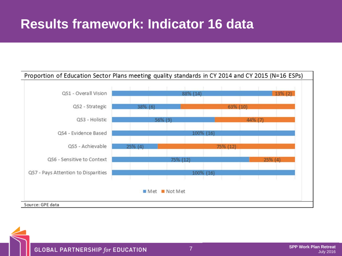### **Results framework: Indicator 16 data**



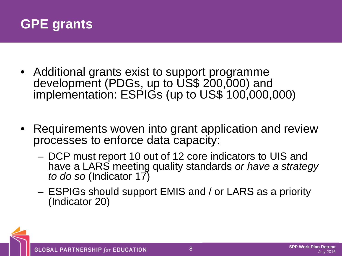

- Additional grants exist to support programme development (PDGs, up to US\$ 200,000) and implementation: ESPIGs (up to US\$ 100,000,000)
- Requirements woven into grant application and review processes to enforce data capacity:
	- DCP must report 10 out of 12 core indicators to UIS and have a LARS meeting quality standards *or have a strategy to do so* (Indicator 17)
	- ESPIGs should support EMIS and / or LARS as a priority (Indicator 20)

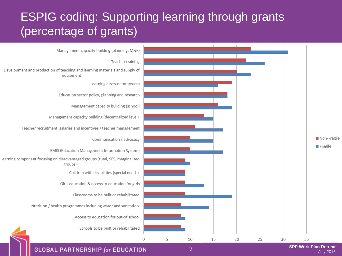### ESPIG coding: Supporting learning through grants (percentage of grants)



**GLOBAL PARTNERSHIP for EDUCATION** 

9 **SPP Work Plan Retreat** July 2016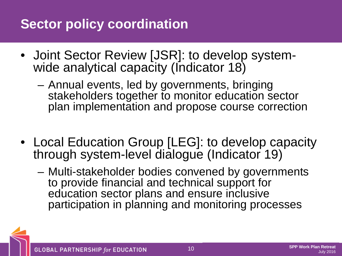### **Sector policy coordination**

- Joint Sector Review [JSR]: to develop system- wide analytical capacity (Indicator 18)
	- Annual events, led by governments, bringing stakeholders together to monitor education sector plan implementation and propose course correction
- Local Education Group [LEG]: to develop capacity through system-level dialogue (Indicator 19)
	- Multi-stakeholder bodies convened by governments to provide financial and technical support for education sector plans and ensure inclusive participation in planning and monitoring processes

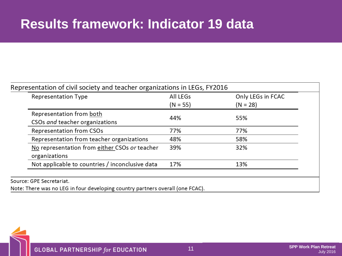### **Results framework: Indicator 19 data**

| <b>Representation Type</b>                      | All LEGs<br>$(N = 55)$ | Only LEGs in FCAC<br>$(N = 28)$ |
|-------------------------------------------------|------------------------|---------------------------------|
|                                                 |                        |                                 |
| CSOs and teacher organizations                  |                        |                                 |
| Representation from CSOs                        | 77%                    | 77%                             |
| Representation from teacher organizations       | 48%                    | 58%                             |
| No representation from either CSOs or teacher   | 39%                    | 32%                             |
| organizations                                   |                        |                                 |
| Not applicable to countries / inconclusive data | 17%                    | 13%                             |

Note: There was no LEG in four developing country partners overall (one FCAC).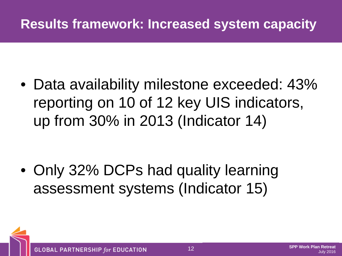### **Results framework: Increased system capacity**

• Data availability milestone exceeded: 43% reporting on 10 of 12 key UIS indicators, up from 30% in 2013 (Indicator 14)

• Only 32% DCPs had quality learning assessment systems (Indicator 15)